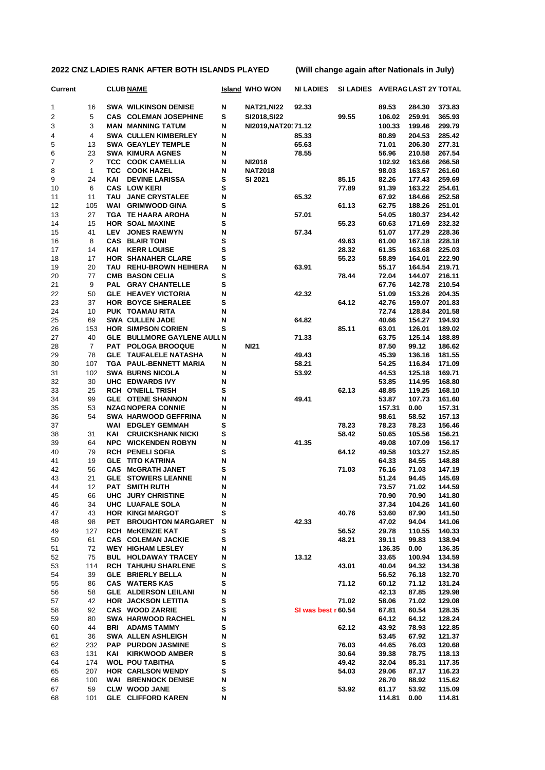| <b>Current</b> |                |            | <b>CLUB NAME</b>                                     |        | <b>Island WHO WON</b> | <b>NI LADIES</b>    | SI LADIES AVERAGLAST 2Y TOTAL |                |                 |                  |
|----------------|----------------|------------|------------------------------------------------------|--------|-----------------------|---------------------|-------------------------------|----------------|-----------------|------------------|
| 1              | 16             |            | <b>SWA WILKINSON DENISE</b>                          | N      | <b>NAT21, NI22</b>    | 92.33               |                               | 89.53          | 284.30          | 373.83           |
| 2              | 5              |            | <b>CAS COLEMAN JOSEPHINE</b>                         | s      | SI2018, SI22          |                     | 99.55                         | 106.02         | 259.91          | 365.93           |
| 3              | 3              |            | <b>MAN MANNING TATUM</b>                             | Ν      | NI2019, NAT20171.12   |                     |                               | 100.33         | 199.46          | 299.79           |
| 4              | 4              |            | <b>SWA CULLEN KIMBERLEY</b>                          | N      |                       | 85.33               |                               | 80.89          | 204.53          | 285.42           |
| 5              | 13             |            | <b>SWA GEAYLEY TEMPLE</b>                            | N      |                       | 65.63               |                               | 71.01          | 206.30          | 277.31           |
| 6              | 23             |            | <b>SWA KIMURA AGNES</b>                              | N      |                       | 78.55               |                               | 56.96          | 210.58          | 267.54           |
| 7              | $\overline{2}$ | TCC.       | <b>COOK CAMELLIA</b>                                 | N      | <b>NI2018</b>         |                     |                               | 102.92         | 163.66          | 266.58           |
| 8              | $\mathbf{1}$   |            | <b>TCC COOK HAZEL</b>                                | N      | <b>NAT2018</b>        |                     |                               | 98.03          | 163.57          | 261.60           |
| 9              | 24             | KAI        | <b>DEVINE LARISSA</b>                                | s      | SI 2021               |                     | 85.15                         | 82.26          | 177.43          | 259.69           |
| 10             | 6              |            | <b>CAS LOW KERI</b>                                  | s      |                       |                     | 77.89                         | 91.39          | 163.22          | 254.61           |
| 11             | 11             | <b>TAU</b> | <b>JANE CRYSTALEE</b>                                | N      |                       | 65.32               |                               | 67.92          | 184.66          | 252.58           |
| 12             | 105            | <b>WAI</b> | <b>GRIMWOOD GINA</b>                                 | s      |                       |                     | 61.13                         | 62.75          | 188.26          | 251.01           |
| 13             | 27             |            | <b>TGA TE HAARA AROHA</b>                            | N      |                       | 57.01               |                               | 54.05          | 180.37          | 234.42           |
| 14             | 15             |            | <b>HOR SOAL MAXINE</b>                               | s      |                       |                     | 55.23                         | 60.63          | 171.69          | 232.32           |
| 15             | 41             | LEV        | <b>JONES RAEWYN</b>                                  | N      |                       | 57.34               |                               | 51.07          | 177.29          | 228.36           |
| 16             | 8              |            | <b>CAS BLAIR TONI</b>                                | S      |                       |                     | 49.63                         | 61.00          | 167.18          | 228.18           |
| 17             | 14             | KAI        | <b>KERR LOUISE</b>                                   | s      |                       |                     | 28.32                         | 61.35          | 163.68          | 225.03           |
| 18             | 17             |            | <b>HOR SHANAHER CLARE</b>                            | s      |                       |                     | 55.23                         | 58.89          | 164.01          | 222.90           |
| 19             | 20             |            | TAU REHU-BROWN HEIHERA                               | Ν      |                       | 63.91               |                               | 55.17          | 164.54          | 219.71           |
| 20             | 77             |            | <b>CMB BASON CELIA</b>                               | s      |                       |                     | 78.44                         | 72.04          | 144.07          | 216.11           |
| 21             | 9              |            | PAL GRAY CHANTELLE                                   | s      |                       |                     |                               | 67.76          | 142.78          | 210.54           |
| 22             | 50             |            | <b>GLE HEAVEY VICTORIA</b>                           | N      |                       | 42.32               |                               | 51.09          | 153.26          | 204.35           |
| 23             | 37             |            | <b>HOR BOYCE SHERALEE</b>                            | s      |                       |                     | 64.12                         | 42.76          | 159.07          | 201.83           |
| 24             | 10             |            | PUK TOAMAU RITA                                      | N      |                       |                     |                               | 72.74          | 128.84          | 201.58           |
| 25             | 69             |            | <b>SWA CULLEN JADE</b>                               | N      |                       | 64.82               |                               | 40.66          | 154.27          | 194.93           |
| 26             | 153            |            | <b>HOR SIMPSON CORIEN</b>                            | s      |                       |                     | 85.11                         | 63.01          | 126.01          | 189.02           |
| 27             | 40<br>7        |            | GLE BULLMORE GAYLENE AULI N                          |        | <b>NI21</b>           | 71.33               |                               | 63.75<br>87.50 | 125.14<br>99.12 | 188.89<br>186.62 |
| 28<br>29       | 78             |            | PAT POLOGA BROOQUE<br><b>GLE TAUFALELE NATASHA</b>   | N<br>N |                       | 49.43               |                               | 45.39          | 136.16          | 181.55           |
| 30             | 107            |            | TGA PAUL-BENNETT MARIA                               | N      |                       | 58.21               |                               | 54.25          | 116.84          | 171.09           |
| 31             | 102            |            | <b>SWA BURNS NICOLA</b>                              | N      |                       | 53.92               |                               | 44.53          | 125.18          | 169.71           |
| 32             | 30             |            | UHC EDWARDS IVY                                      | N      |                       |                     |                               | 53.85          | 114.95          | 168.80           |
| 33             | 25             |            | <b>RCH O'NEILL TRISH</b>                             | s      |                       |                     | 62.13                         | 48.85          | 119.25          | 168.10           |
| 34             | 99             |            | <b>GLE OTENE SHANNON</b>                             | N      |                       | 49.41               |                               | 53.87          | 107.73          | 161.60           |
| 35             | 53             |            | <b>NZAG NOPERA CONNIE</b>                            | N      |                       |                     |                               | 157.31         | 0.00            | 157.31           |
| 36             | 54             |            | <b>SWA HARWOOD GEFFRINA</b>                          | N      |                       |                     |                               | 98.61          | 58.52           | 157.13           |
| 37             |                |            | <b>WAI EDGLEY GEMMAH</b>                             | s      |                       |                     | 78.23                         | 78.23          | 78.23           | 156.46           |
| 38             | 31             | KAI        | <b>CRUICKSHANK NICKI</b>                             | s      |                       |                     | 58.42                         | 50.65          | 105.56          | 156.21           |
| 39             | 64             |            | <b>NPC WICKENDEN ROBYN</b>                           | N      |                       | 41.35               |                               | 49.08          | 107.09          | 156.17           |
| 40             | 79             |            | <b>RCH PENELI SOFIA</b>                              | s      |                       |                     | 64.12                         | 49.58          | 103.27          | 152.85           |
| 41             | 19             |            | <b>GLE TITO KATRINA</b>                              | N      |                       |                     |                               | 64.33          | 84.55           | 148.88           |
| 42             | 56             |            | <b>CAS McGRATH JANET</b>                             | s      |                       |                     | 71.03                         | 76.16          | 71.03           | 147.19           |
| 43             | 21             |            | <b>GLE STOWERS LEANNE</b>                            | N      |                       |                     |                               | 51.24          | 94.45           | 145.69           |
| 44             | 12             | <b>PAT</b> | <b>SMITH RUTH</b>                                    | N      |                       |                     |                               | 73.57          | 71.02           | 144.59           |
| 45             | 66             |            | UHC JURY CHRISTINE                                   | N      |                       |                     |                               | 70.90          | 70.90           | 141.80           |
| 46             | 34             |            | UHC LUAFALE SOLA                                     | N      |                       |                     |                               | 37.34          | 104.26          | 141.60           |
| 47             | 43             |            | <b>HOR KINGI MARGOT</b>                              | s      |                       |                     | 40.76                         | 53.60          | 87.90           | 141.50           |
| 48             | 98             |            | PET BROUGHTON MARGARET                               | N      |                       | 42.33               |                               | 47.02          | 94.04           | 141.06           |
| 49             | 127            |            | RCH McKENZIE KAT                                     | s      |                       |                     | 56.52                         | 29.78          | 110.55          | 140.33           |
| 50             | 61             |            | <b>CAS COLEMAN JACKIE</b>                            | S      |                       |                     | 48.21                         | 39.11          | 99.83           | 138.94           |
| 51             | 72             |            | <b>WEY HIGHAM LESLEY</b>                             | N      |                       |                     |                               | 136.35         | 0.00            | 136.35           |
| 52             | 75             |            | <b>BUL HOLDAWAY TRACEY</b>                           | N      |                       | 13.12               |                               | 33.65          | 100.94          | 134.59           |
| 53             | 114            |            | <b>RCH TAHUHU SHARLENE</b>                           | s      |                       |                     | 43.01                         | 40.04          | 94.32           | 134.36           |
| 54             | 39             |            | <b>GLE BRIERLY BELLA</b>                             | Ν<br>S |                       |                     |                               | 56.52          | 76.18<br>71.12  | 132.70           |
| 55<br>56       | 86<br>58       |            | <b>CAS WATERS KAS</b><br><b>GLE ALDERSON LEILANI</b> | N      |                       |                     | 71.12                         | 60.12<br>42.13 | 87.85           | 131.24<br>129.98 |
| 57             | 42             |            | <b>HOR JACKSON LETITIA</b>                           | s      |                       |                     | 71.02                         | 58.06          | 71.02           | 129.08           |
| 58             | 92             |            | <b>CAS WOOD ZARRIE</b>                               | s      |                       | SI was best r 60.54 |                               | 67.81          | 60.54           | 128.35           |
| 59             | 80             |            | SWA HARWOOD RACHEL                                   | Ν      |                       |                     |                               | 64.12          | 64.12           | 128.24           |
| 60             | 44             | BRI        | <b>ADAMS TAMMY</b>                                   | s      |                       |                     | 62.12                         | 43.92          | 78.93           | 122.85           |
| 61             | 36             |            | <b>SWA ALLEN ASHLEIGH</b>                            | N      |                       |                     |                               | 53.45          | 67.92           | 121.37           |
| 62             | 232            |            | <b>PAP PURDON JASMINE</b>                            | s      |                       |                     | 76.03                         | 44.65          | 76.03           | 120.68           |
| 63             | 131            | KAI        | <b>KIRKWOOD AMBER</b>                                | S      |                       |                     | 30.64                         | 39.38          | 78.75           | 118.13           |
| 64             | 174            |            | <b>WOL POU TABITHA</b>                               | s      |                       |                     | 49.42                         | 32.04          | 85.31           | 117.35           |
| 65             | 207            |            | <b>HOR CARLSON WENDY</b>                             | S      |                       |                     | 54.03                         | 29.06          | 87.17           | 116.23           |
| 66             | 100            |            | <b>WAI BRENNOCK DENISE</b>                           | Ν      |                       |                     |                               | 26.70          | 88.92           | 115.62           |
| 67             | 59             |            | <b>CLW WOOD JANE</b>                                 | s      |                       |                     | 53.92                         | 61.17          | 53.92           | 115.09           |
| 68             | 101            |            | <b>GLE CLIFFORD KAREN</b>                            | Ν      |                       |                     |                               | 114.81         | 0.00            | 114.81           |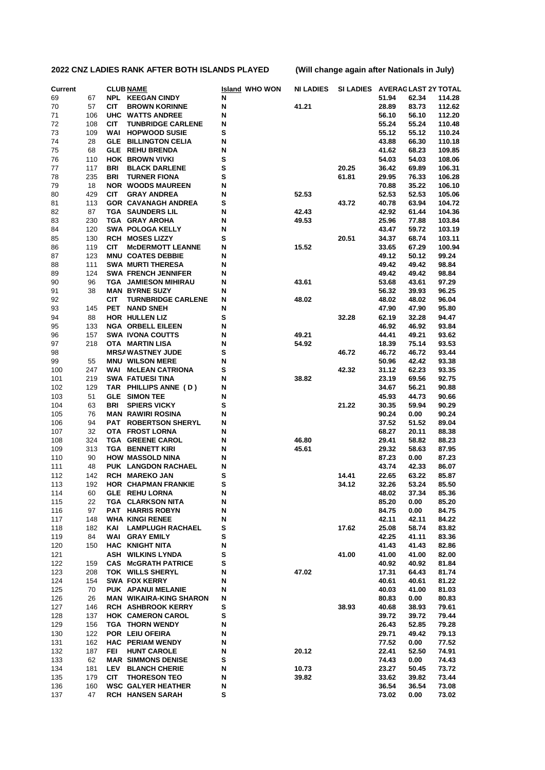| <b>Current</b> |           |            | <b>CLUB NAME</b>                                | <b>Island WHO WON</b> | <b>NI LADIES</b> | <b>SI LADIES</b> |                | <b>AVERAGLAST 2Y TOTAL</b> |                  |
|----------------|-----------|------------|-------------------------------------------------|-----------------------|------------------|------------------|----------------|----------------------------|------------------|
| 69             | 67        |            | <b>NPL KEEGAN CINDY</b>                         | N                     |                  |                  | 51.94          | 62.34                      | 114.28           |
| 70             | 57        | CIT        | <b>BROWN KORINNE</b>                            | N                     | 41.21            |                  | 28.89          | 83.73                      | 112.62           |
| 71             | 106       |            | UHC WATTS ANDREE                                | Ν                     |                  |                  | 56.10          | 56.10                      | 112.20           |
| 72             | 108       | <b>CIT</b> | <b>TUNBRIDGE CARLENE</b>                        | N                     |                  |                  | 55.24          | 55.24                      | 110.48           |
| 73             | 109       | WAI        | <b>HOPWOOD SUSIE</b>                            | s                     |                  |                  | 55.12          | 55.12                      | 110.24           |
| 74             | 28        |            | <b>GLE BILLINGTON CELIA</b>                     | Ν                     |                  |                  | 43.88          | 66.30                      | 110.18           |
| 75             | 68        |            | <b>GLE REHU BRENDA</b>                          | Ν                     |                  |                  | 41.62          | 68.23                      | 109.85           |
| 76             | 110       |            | <b>HOK BROWN VIVKI</b>                          | S                     |                  |                  | 54.03          | 54.03                      | 108.06           |
| 77             | 117       | BRI        | <b>BLACK DARLENE</b>                            | S                     |                  | 20.25            | 36.42          | 69.89                      | 106.31<br>106.28 |
| 78<br>79       | 235<br>18 | <b>BRI</b> | <b>TURNER FIONA</b><br><b>NOR WOODS MAUREEN</b> | s<br>Ν                |                  | 61.81            | 29.95<br>70.88 | 76.33<br>35.22             | 106.10           |
| 80             | 429       | <b>CIT</b> | <b>GRAY ANDREA</b>                              | Ν                     | 52.53            |                  | 52.53          | 52.53                      | 105.06           |
| 81             | 113       |            | <b>GOR CAVANAGH ANDREA</b>                      | S                     |                  | 43.72            | 40.78          | 63.94                      | 104.72           |
| 82             | 87        |            | <b>TGA SAUNDERS LIL</b>                         | Ν                     | 42.43            |                  | 42.92          | 61.44                      | 104.36           |
| 83             | 230       |            | TGA GRAY AROHA                                  | Ν                     | 49.53            |                  | 25.96          | 77.88                      | 103.84           |
| 84             | 120       |            | <b>SWA POLOGA KELLY</b>                         | N                     |                  |                  | 43.47          | 59.72                      | 103.19           |
| 85             | 130       |            | <b>RCH MOSES LIZZY</b>                          | s                     |                  | 20.51            | 34.37          | 68.74                      | 103.11           |
| 86             | 119       | <b>CIT</b> | <b>MCDERMOTT LEANNE</b>                         | Ν                     | 15.52            |                  | 33.65          | 67.29                      | 100.94           |
| 87             | 123       |            | <b>MNU COATES DEBBIE</b>                        | Ν                     |                  |                  | 49.12          | 50.12                      | 99.24            |
| 88             | 111       |            | <b>SWA MURTI THERESA</b>                        | Ν                     |                  |                  | 49.42          | 49.42                      | 98.84            |
| 89             | 124       |            | <b>SWA FRENCH JENNIFER</b>                      | Ν                     |                  |                  | 49.42          | 49.42                      | 98.84            |
| 90             | 96        |            | TGA JAMIESON MIHIRAU                            | Ν                     | 43.61            |                  | 53.68          | 43.61                      | 97.29            |
| 91             | 38        |            | <b>MAN BYRNE SUZY</b>                           | N                     |                  |                  | 56.32          | 39.93                      | 96.25            |
| 92             |           | <b>CIT</b> | <b>TURNBRIDGE CARLENE</b>                       | N                     | 48.02            |                  | 48.02          | 48.02                      | 96.04            |
| 93             | 145       | <b>PET</b> | <b>NAND SNEH</b>                                | Ν                     |                  |                  | 47.90          | 47.90                      | 95.80            |
| 94             | 88        |            | HOR HULLEN LIZ                                  | S                     |                  | 32.28            | 62.19          | 32.28                      | 94.47            |
| 95             | 133       |            | <b>NGA ORBELL EILEEN</b>                        | Ν                     |                  |                  | 46.92          | 46.92                      | 93.84            |
| 96             | 157       |            | <b>SWA IVONA COUTTS</b>                         | Ν                     | 49.21            |                  | 44.41          | 49.21                      | 93.62            |
| 97             | 218       |            | OTA MARTIN LISA                                 | Ν                     | 54.92            |                  | 18.39          | 75.14                      | 93.53            |
| 98             |           |            | <b>MRSA WASTNEY JUDE</b>                        | s                     |                  | 46.72            | 46.72          | 46.72                      | 93.44            |
| 99             | 55        |            | <b>MNU WILSON MERE</b>                          | Ν                     |                  |                  | 50.96          | 42.42                      | 93.38            |
| 100            | 247       |            | <b>WAI MCLEAN CATRIONA</b>                      | s                     |                  | 42.32            | 31.12          | 62.23                      | 93.35            |
| 101            | 219       |            | <b>SWA FATUESI TINA</b>                         | Ν                     | 38.82            |                  | 23.19          | 69.56                      | 92.75            |
| 102            | 129       |            | TAR PHILLIPS ANNE (D)                           | Ν                     |                  |                  | 34.67          | 56.21                      | 90.88            |
| 103            | 51        |            | <b>GLE SIMON TEE</b>                            | N                     |                  |                  | 45.93          | 44.73                      | 90.66            |
| 104            | 63        | <b>BRI</b> | <b>SPIERS VICKY</b>                             | S                     |                  | 21.22            | 30.35          | 59.94                      | 90.29            |
| 105            | 76        |            | <b>MAN RAWIRI ROSINA</b>                        | Ν                     |                  |                  | 90.24          | 0.00                       | 90.24            |
| 106            | 94<br>32  | PAT        | <b>ROBERTSON SHERYL</b>                         | Ν                     |                  |                  | 37.52          | 51.52                      | 89.04            |
| 107<br>108     | 324       |            | OTA FROST LORNA<br><b>TGA GREENE CAROL</b>      | N<br>Ν                | 46.80            |                  | 68.27<br>29.41 | 20.11<br>58.82             | 88.38<br>88.23   |
| 109            | 313       |            | <b>TGA BENNETT KIRI</b>                         | Ν                     | 45.61            |                  | 29.32          | 58.63                      | 87.95            |
| 110            | 90        |            | <b>HOW MASSOLD NINA</b>                         | Ν                     |                  |                  | 87.23          | 0.00                       | 87.23            |
| 111            | 48        |            | PUK LANGDON RACHAEL                             | Ν                     |                  |                  | 43.74          | 42.33                      | 86.07            |
| 112            | 142       |            | <b>RCH MAREKO JAN</b>                           | S                     |                  | 14.41            | 22.65          | 63.22                      | 85.87            |
| 113            | 192       |            | <b>HOR CHAPMAN FRANKIE</b>                      | s                     |                  | 34.12            | 32.26          | 53.24                      | 85.50            |
| 114            | 60        |            | GLE REHU LORNA                                  | N                     |                  |                  | 48.02          | 37.34                      | 85.36            |
| 115            | 22        |            | TGA CLARKSON NITA                               | N                     |                  |                  | 85.20          | 0.00                       | 85.20            |
| 116            | 97        |            | PAT HARRIS ROBYN                                | N                     |                  |                  | 84.75          | 0.00                       | 84.75            |
| 117            | 148       |            | <b>WHA KINGI RENEE</b>                          | N                     |                  |                  | 42.11          | 42.11                      | 84.22            |
| 118            | 182       | KAI        | <b>LAMPLUGH RACHAEL</b>                         | s                     |                  | 17.62            | 25.08          | 58.74                      | 83.82            |
| 119            | 84        |            | <b>WAI GRAY EMILY</b>                           | s                     |                  |                  | 42.25          | 41.11                      | 83.36            |
| 120            | 150       |            | <b>HAC KNIGHT NITA</b>                          | N                     |                  |                  | 41.43          | 41.43                      | 82.86            |
| 121            |           |            | <b>ASH WILKINS LYNDA</b>                        | s                     |                  | 41.00            | 41.00          | 41.00                      | 82.00            |
| 122            | 159       |            | <b>CAS McGRATH PATRICE</b>                      | s                     |                  |                  | 40.92          | 40.92                      | 81.84            |
| 123            | 208       |            | TOK WILLS SHERYL                                | N                     | 47.02            |                  | 17.31          | 64.43                      | 81.74            |
| 124            | 154       |            | <b>SWA FOX KERRY</b>                            | N                     |                  |                  | 40.61          | 40.61                      | 81.22            |
| 125            | 70        |            | PUK APANUI MELANIE                              | N                     |                  |                  | 40.03          | 41.00                      | 81.03            |
| 126            | 26        |            | <b>MAN WIKAIRA-KING SHARON</b>                  | N                     |                  |                  | 80.83          | 0.00                       | 80.83            |
| 127            | 146       |            | <b>RCH ASHBROOK KERRY</b>                       | s                     |                  | 38.93            | 40.68          | 38.93                      | 79.61            |
| 128            | 137       |            | <b>HOK CAMERON CAROL</b>                        | s                     |                  |                  | 39.72          | 39.72                      | 79.44            |
| 129            | 156       |            | <b>TGA THORN WENDY</b>                          | N                     |                  |                  | 26.43          | 52.85                      | 79.28            |
| 130            | 122       |            | POR LEIU OFEIRA                                 | N                     |                  |                  | 29.71          | 49.42                      | 79.13            |
| 131            | 162       |            | <b>HAC PERIAM WENDY</b>                         | N                     |                  |                  | 77.52          | 0.00                       | 77.52            |
| 132            | 187       | FEI        | <b>HUNT CAROLE</b>                              | N                     | 20.12            |                  | 22.41          | 52.50                      | 74.91            |
| 133            | 62        |            | <b>MAR SIMMONS DENISE</b>                       | s                     |                  |                  | 74.43          | 0.00                       | 74.43            |
| 134            | 181       |            | LEV BLANCH CHERIE                               | N                     | 10.73            |                  | 23.27          | 50.45                      | 73.72            |
| 135            | 179       | <b>CIT</b> | <b>THORESON TEO</b>                             | N                     | 39.82            |                  | 33.62          | 39.82                      | 73.44            |
| 136            | 160       |            | <b>WSC GALYER HEATHER</b>                       | N                     |                  |                  | 36.54          | 36.54                      | 73.08            |
| 137            | 47        |            | <b>RCH HANSEN SARAH</b>                         | s                     |                  |                  | 73.02          | 0.00                       | 73.02            |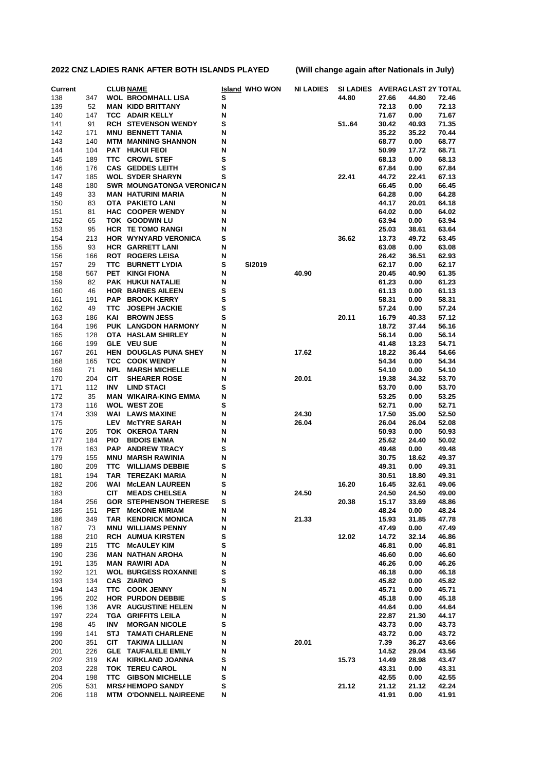| <b>Current</b> |            |            | <b>CLUB NAME</b>                                       |        | <b>Island WHO WON</b> | <b>NI LADIES</b> | <b>SI LADIES</b> |                | <b>AVERAGLAST 2Y TOTAL</b> |                |
|----------------|------------|------------|--------------------------------------------------------|--------|-----------------------|------------------|------------------|----------------|----------------------------|----------------|
| 138            | 347        |            | <b>WOL BROOMHALL LISA</b>                              | s      |                       |                  | 44.80            | 27.66          | 44.80                      | 72.46          |
| 139            | 52         |            | <b>MAN KIDD BRITTANY</b>                               | N      |                       |                  |                  | 72.13          | 0.00                       | 72.13          |
| 140            | 147        |            | <b>TCC ADAIR KELLY</b>                                 | N      |                       |                  |                  | 71.67          | 0.00                       | 71.67          |
| 141            | 91         |            | <b>RCH STEVENSON WENDY</b>                             | s      |                       |                  | 5164             | 30.42          | 40.93                      | 71.35          |
| 142            | 171        |            | <b>MNU BENNETT TANIA</b>                               | N      |                       |                  |                  | 35.22          | 35.22                      | 70.44          |
| 143            | 140        |            | <b>MTM MANNING SHANNON</b>                             | N      |                       |                  |                  | 68.77          | 0.00                       | 68.77          |
| 144            | 104        |            | <b>PAT HUKUI FEOI</b>                                  | N      |                       |                  |                  | 50.99          | 17.72                      | 68.71          |
| 145            | 189        | TTC.       | <b>CROWL STEF</b>                                      | s<br>s |                       |                  |                  | 68.13          | 0.00                       | 68.13          |
| 146<br>147     | 176<br>185 |            | <b>CAS GEDDES LEITH</b><br><b>WOL SYDER SHARYN</b>     | s      |                       |                  | 22.41            | 67.84<br>44.72 | 0.00<br>22.41              | 67.84<br>67.13 |
| 148            | 180        |            | <b>SWR MOUNGATONGA VERONICAN</b>                       |        |                       |                  |                  | 66.45          | 0.00                       | 66.45          |
| 149            | 33         |            | <b>MAN HATURINI MARIA</b>                              | N      |                       |                  |                  | 64.28          | 0.00                       | 64.28          |
| 150            | 83         |            | <b>OTA PAKIETO LANI</b>                                | N      |                       |                  |                  | 44.17          | 20.01                      | 64.18          |
| 151            | 81         |            | HAC COOPER WENDY                                       | N      |                       |                  |                  | 64.02          | 0.00                       | 64.02          |
| 152            | 65         |            | TOK GOODWIN LU                                         | N      |                       |                  |                  | 63.94          | 0.00                       | 63.94          |
| 153            | 95         |            | <b>HCR TE TOMO RANGI</b>                               | N      |                       |                  |                  | 25.03          | 38.61                      | 63.64          |
| 154            | 213        |            | HOR WYNYARD VERONICA                                   | s      |                       |                  | 36.62            | 13.73          | 49.72                      | 63.45          |
| 155            | 93         |            | <b>HCR GARRETT LANI</b>                                | N      |                       |                  |                  | 63.08          | 0.00                       | 63.08          |
| 156            | 166        |            | <b>ROT ROGERS LEISA</b>                                | N      |                       |                  |                  | 26.42          | 36.51                      | 62.93          |
| 157            | 29         | ттс        | <b>BURNETT LYDIA</b>                                   | s      | <b>SI2019</b>         |                  |                  | 62.17          | 0.00                       | 62.17          |
| 158            | 567        | <b>PET</b> | <b>KINGI FIONA</b>                                     | N      |                       | 40.90            |                  | 20.45          | 40.90                      | 61.35          |
| 159            | 82         |            | PAK HUKUI NATALIE                                      | N      |                       |                  |                  | 61.23          | 0.00                       | 61.23          |
| 160            | 46         |            | <b>HOR BARNES AILEEN</b>                               | s      |                       |                  |                  | 61.13          | 0.00                       | 61.13          |
| 161            | 191        | <b>PAP</b> | <b>BROOK KERRY</b>                                     | s      |                       |                  |                  | 58.31          | 0.00                       | 58.31          |
| 162            | 49         | ттс<br>KAI | <b>JOSEPH JACKIE</b>                                   | s      |                       |                  |                  | 57.24          | 0.00                       | 57.24          |
| 163<br>164     | 186<br>196 |            | <b>BROWN JESS</b><br>PUK LANGDON HARMONY               | s<br>N |                       |                  | 20.11            | 16.79<br>18.72 | 40.33<br>37.44             | 57.12<br>56.16 |
| 165            | 128        |            | OTA HASLAM SHIRLEY                                     | N      |                       |                  |                  | 56.14          | 0.00                       | 56.14          |
| 166            | 199        |            | <b>GLE VEU SUE</b>                                     | N      |                       |                  |                  | 41.48          | 13.23                      | 54.71          |
| 167            | 261        |            | HEN DOUGLAS PUNA SHEY                                  | N      |                       | 17.62            |                  | 18.22          | 36.44                      | 54.66          |
| 168            | 165        | TCC.       | <b>COOK WENDY</b>                                      | N      |                       |                  |                  | 54.34          | 0.00                       | 54.34          |
| 169            | 71         | NPL        | <b>MARSH MICHELLE</b>                                  | N      |                       |                  |                  | 54.10          | 0.00                       | 54.10          |
| 170            | 204        | <b>CIT</b> | <b>SHEARER ROSE</b>                                    | N      |                       | 20.01            |                  | 19.38          | 34.32                      | 53.70          |
| 171            | 112        | INV        | <b>LIND STACI</b>                                      | s      |                       |                  |                  | 53.70          | 0.00                       | 53.70          |
| 172            | 35         |            | <b>MAN WIKAIRA-KING EMMA</b>                           | N      |                       |                  |                  | 53.25          | 0.00                       | 53.25          |
| 173            | 116        |            | <b>WOL WEST ZOE</b>                                    | s      |                       |                  |                  | 52.71          | 0.00                       | 52.71          |
| 174            | 339        |            | <b>WAI LAWS MAXINE</b>                                 | N      |                       | 24.30            |                  | 17.50          | 35.00                      | 52.50          |
| 175            |            | <b>LEV</b> | <b>MCTYRE SARAH</b>                                    | N      |                       | 26.04            |                  | 26.04          | 26.04                      | 52.08          |
| 176            | 205        |            | TOK OKEROA TARN                                        | N      |                       |                  |                  | 50.93          | 0.00                       | 50.93          |
| 177            | 184        | <b>PIO</b> | <b>BIDOIS EMMA</b>                                     | N      |                       |                  |                  | 25.62          | 24.40                      | 50.02          |
| 178            | 163<br>155 | <b>PAP</b> | <b>ANDREW TRACY</b>                                    | s<br>N |                       |                  |                  | 49.48<br>30.75 | 0.00<br>18.62              | 49.48          |
| 179<br>180     | 209        | TTC        | <b>MNU MARSH RAWINIA</b><br><b>WILLIAMS DEBBIE</b>     | s      |                       |                  |                  | 49.31          | 0.00                       | 49.37<br>49.31 |
| 181            | 194        | TAR        | <b>TEREZAKI MARIA</b>                                  | N      |                       |                  |                  | 30.51          | 18.80                      | 49.31          |
| 182            | 206        | WAI        | <b>McLEAN LAUREEN</b>                                  | s      |                       |                  | 16.20            | 16.45          | 32.61                      | 49.06          |
| 183            |            | <b>CIT</b> | <b>MEADS CHELSEA</b>                                   | N      |                       | 24.50            |                  | 24.50          | 24.50                      | 49.00          |
| 184            | 256        |            | <b>GOR STEPHENSON THERESE</b>                          | s      |                       |                  | 20.38            | 15.17          | 33.69                      | 48.86          |
| 185            | 151        |            | PET MCKONE MIRIAM                                      | N      |                       |                  |                  | 48.24          | 0.00                       | 48.24          |
| 186            | 349        |            | TAR KENDRICK MONICA                                    | N      |                       | 21.33            |                  | 15.93          | 31.85                      | 47.78          |
| 187            | 73         |            | <b>MNU WILLIAMS PENNY</b>                              | N      |                       |                  |                  | 47.49          | 0.00                       | 47.49          |
| 188            | 210        |            | <b>RCH AUMUA KIRSTEN</b>                               | s      |                       |                  | 12.02            | 14.72          | 32.14                      | 46.86          |
| 189            | 215        | TTC        | <b>MCAULEY KIM</b>                                     | S      |                       |                  |                  | 46.81          | 0.00                       | 46.81          |
| 190            | 236        |            | <b>MAN NATHAN AROHA</b>                                | N      |                       |                  |                  | 46.60          | 0.00                       | 46.60          |
| 191            | 135        |            | <b>MAN RAWIRI ADA</b>                                  | N      |                       |                  |                  | 46.26          | 0.00                       | 46.26          |
| 192            | 121        |            | <b>WOL BURGESS ROXANNE</b>                             | s      |                       |                  |                  | 46.18          | 0.00                       | 46.18          |
| 193            | 134        |            | <b>CAS ZIARNO</b>                                      | s      |                       |                  |                  | 45.82          | 0.00                       | 45.82          |
| 194            | 143<br>202 |            | TTC COOK JENNY                                         | N<br>s |                       |                  |                  | 45.71          | 0.00                       | 45.71          |
| 195<br>196     | 136        |            | <b>HOR PURDON DEBBIE</b><br><b>AVR AUGUSTINE HELEN</b> | N      |                       |                  |                  | 45.18<br>44.64 | 0.00<br>0.00               | 45.18<br>44.64 |
| 197            | 224        |            | <b>TGA GRIFFITS LEILA</b>                              | N      |                       |                  |                  | 22.87          | 21.30                      | 44.17          |
| 198            | 45         | INV        | <b>MORGAN NICOLE</b>                                   | s      |                       |                  |                  | 43.73          | 0.00                       | 43.73          |
| 199            | 141        | STJ        | <b>TAMATI CHARLENE</b>                                 | N      |                       |                  |                  | 43.72          | 0.00                       | 43.72          |
| 200            | 351        | <b>CIT</b> | <b>TAKIWA LILLIAN</b>                                  | N      |                       | 20.01            |                  | 7.39           | 36.27                      | 43.66          |
| 201            | 226        |            | <b>GLE TAUFALELE EMILY</b>                             | N      |                       |                  |                  | 14.52          | 29.04                      | 43.56          |
| 202            | 319        | KAI        | <b>KIRKLAND JOANNA</b>                                 | s      |                       |                  | 15.73            | 14.49          | 28.98                      | 43.47          |
| 203            | 228        |            | TOK TEREU CAROL                                        | N      |                       |                  |                  | 43.31          | 0.00                       | 43.31          |
| 204            | 198        |            | <b>TTC GIBSON MICHELLE</b>                             | s      |                       |                  |                  | 42.55          | 0.00                       | 42.55          |
| 205            | 531        |            | <b>MRSA HEMOPO SANDY</b>                               | s      |                       |                  | 21.12            | 21.12          | 21.12                      | 42.24          |
| 206            | 118        |            | <b>MTM O'DONNELL NAIREENE</b>                          | N      |                       |                  |                  | 41.91          | 0.00                       | 41.91          |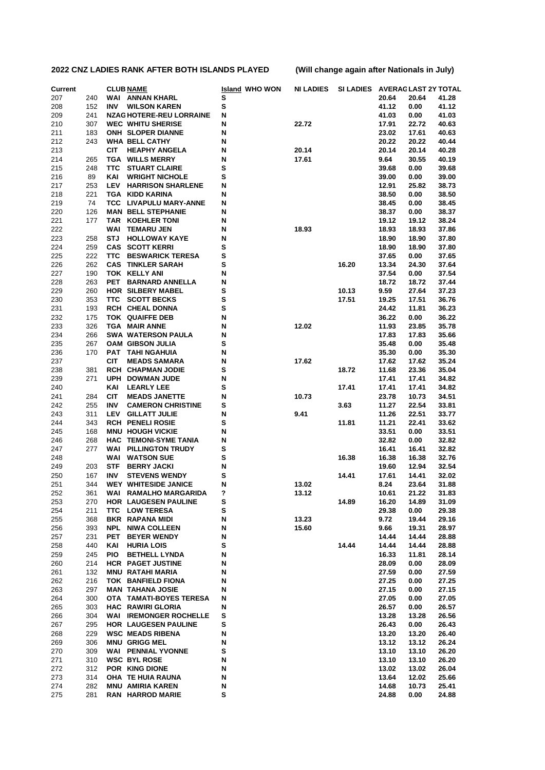| <b>Current</b> |            |            | <b>CLUB NAME</b>                                   | <b>Island WHO WON</b> | <b>NI LADIES</b> | <b>SI LADIES</b> |                | <b>AVERAGLAST 2Y TOTAL</b> |                |
|----------------|------------|------------|----------------------------------------------------|-----------------------|------------------|------------------|----------------|----------------------------|----------------|
| 207            | 240        |            | <b>WAI ANNAN KHARL</b>                             | s                     |                  |                  | 20.64          | 20.64                      | 41.28          |
| 208            | 152        | INV        | <b>WILSON KAREN</b>                                | S                     |                  |                  | 41.12          | 0.00                       | 41.12          |
| 209            | 241        |            | <b>NZAG HOTERE-REU LORRAINE</b>                    | N                     |                  |                  | 41.03          | 0.00                       | 41.03          |
| 210            | 307        |            | <b>WEC WHITU SHERISE</b>                           | N                     | 22.72            |                  | 17.91          | 22.72                      | 40.63          |
| 211            | 183        |            | <b>ONH SLOPER DIANNE</b>                           | N                     |                  |                  | 23.02          | 17.61                      | 40.63          |
| 212            | 243        |            | <b>WHA BELL CATHY</b>                              | N                     |                  |                  | 20.22          | 20.22                      | 40.44          |
| 213            |            | <b>CIT</b> | <b>HEAPHY ANGELA</b>                               | N                     | 20.14            |                  | 20.14          | 20.14                      | 40.28          |
| 214            | 265        |            | <b>TGA WILLS MERRY</b>                             | N                     | 17.61            |                  | 9.64           | 30.55                      | 40.19          |
| 215            | 248        | ттс        | <b>STUART CLAIRE</b>                               | s                     |                  |                  | 39.68          | 0.00                       | 39.68          |
| 216            | 89         | KAI        | <b>WRIGHT NICHOLE</b>                              | s                     |                  |                  | 39.00          | 0.00                       | 39.00          |
| 217            | 253        | LEV        | <b>HARRISON SHARLENE</b>                           | N                     |                  |                  | 12.91          | 25.82                      | 38.73          |
| 218            | 221        |            | <b>TGA KIDD KARINA</b>                             | N                     |                  |                  | 38.50          | 0.00                       | 38.50          |
| 219            | 74         | TCC.       | <b>LIVAPULU MARY-ANNE</b>                          | N                     |                  |                  | 38.45          | 0.00                       | 38.45          |
| 220            | 126        |            | <b>MAN BELL STEPHANIE</b>                          | N                     |                  |                  | 38.37          | 0.00                       | 38.37          |
| 221            | 177        |            | <b>TAR KOEHLER TONI</b>                            | N                     |                  |                  | 19.12          | 19.12                      | 38.24          |
| 222            |            | WAI        | <b>TEMARU JEN</b>                                  | N                     | 18.93            |                  | 18.93          | 18.93                      | 37.86          |
| 223            | 258        | STJ        | <b>HOLLOWAY KAYE</b>                               | N                     |                  |                  | 18.90          | 18.90                      | 37.80          |
| 224            | 259        |            | <b>CAS SCOTT KERRI</b>                             | s                     |                  |                  | 18.90          | 18.90                      | 37.80          |
| 225            | 222        | <b>TTC</b> | <b>BESWARICK TERESA</b>                            | s                     |                  |                  | 37.65          | 0.00                       | 37.65          |
| 226            | 262        |            | <b>CAS TINKLER SARAH</b>                           | s                     |                  | 16.20            | 13.34          | 24.30                      | 37.64          |
| 227            | 190        |            | TOK KELLY ANI                                      | N                     |                  |                  | 37.54          | 0.00                       | 37.54          |
| 228            | 263        | <b>PET</b> | <b>BARNARD ANNELLA</b>                             | N                     |                  |                  | 18.72          | 18.72                      | 37.44          |
| 229            | 260        |            | <b>HOR SILBERY MABEL</b>                           | s                     |                  | 10.13            | 9.59           | 27.64                      | 37.23          |
| 230            | 353        | TTC.       | <b>SCOTT BECKS</b>                                 | s                     |                  | 17.51            | 19.25          | 17.51                      | 36.76          |
| 231            | 193        |            | <b>RCH CHEAL DONNA</b>                             | s                     |                  |                  | 24.42          | 11.81                      | 36.23          |
| 232            | 175        |            | <b>TOK QUAIFFE DEB</b>                             | N                     |                  |                  | 36.22          | 0.00                       | 36.22          |
| 233            | 326        |            | <b>TGA MAIR ANNE</b>                               | N                     | 12.02            |                  | 11.93          | 23.85                      | 35.78          |
| 234            | 266        |            | <b>SWA WATERSON PAULA</b>                          | N                     |                  |                  | 17.83          | 17.83                      | 35.66          |
| 235            | 267        |            | OAM GIBSON JULIA                                   | s                     |                  |                  | 35.48          | 0.00                       | 35.48          |
| 236            | 170        |            | PAT TAHI NGAHUIA                                   | N                     |                  |                  | 35.30          | 0.00                       | 35.30          |
| 237            |            | <b>CIT</b> | <b>MEADS SAMARA</b>                                | N                     | 17.62            |                  | 17.62          | 17.62                      | 35.24          |
| 238            | 381        |            | RCH CHAPMAN JODIE                                  | s                     |                  | 18.72            | 11.68          | 23.36                      | 35.04          |
| 239            | 271        | <b>UPH</b> | <b>DOWMAN JUDE</b>                                 | N                     |                  |                  | 17.41          | 17.41                      | 34.82          |
| 240            |            | KAI        | <b>LEARLY LEE</b>                                  | s                     |                  | 17.41            | 17.41          | 17.41                      | 34.82          |
| 241            | 284        | <b>CIT</b> | <b>MEADS JANETTE</b>                               | N                     | 10.73            |                  | 23.78          | 10.73                      | 34.51          |
| 242            | 255        | <b>INV</b> | <b>CAMERON CHRISTINE</b>                           | s                     |                  | 3.63             | 11.27          | 22.54                      | 33.81          |
| 243            | 311        | LEV        | <b>GILLATT JULIE</b>                               | N<br>s                | 9.41             |                  | 11.26          | 22.51                      | 33.77          |
| 244<br>245     | 343<br>168 |            | <b>RCH PENELI ROSIE</b><br><b>MNU HOUGH VICKIE</b> | N                     |                  | 11.81            | 11.21<br>33.51 | 22.41<br>0.00              | 33.62<br>33.51 |
| 246            | 268        |            | <b>HAC TEMONI-SYME TANIA</b>                       | N                     |                  |                  | 32.82          | 0.00                       | 32.82          |
| 247            | 277        | WAI        | <b>PILLINGTON TRUDY</b>                            | s                     |                  |                  | 16.41          | 16.41                      | 32.82          |
| 248            |            | WAI        | <b>WATSON SUE</b>                                  | s                     |                  | 16.38            | 16.38          | 16.38                      | 32.76          |
| 249            | 203        | <b>STF</b> | <b>BERRY JACKI</b>                                 | N                     |                  |                  | 19.60          | 12.94                      | 32.54          |
| 250            | 167        | <b>INV</b> | <b>STEVENS WENDY</b>                               | s                     |                  | 14.41            | 17.61          | 14.41                      | 32.02          |
| 251            | 344        |            | <b>WEY WHITESIDE JANICE</b>                        | N                     | 13.02            |                  | 8.24           | 23.64                      | 31.88          |
| 252            | 361        |            | WAI RAMALHO MARGARIDA                              | ?                     | 13.12            |                  | 10.61          | 21.22                      | 31.83          |
| 253            | 270        |            | HOR LAUGESEN PAULINE                               | s                     |                  | 14.89            | 16.20          | 14.89                      | 31.09          |
| 254            | 211        |            | <b>TTC LOW TERESA</b>                              | s                     |                  |                  | 29.38          | 0.00                       | 29.38          |
| 255            | 368        |            | <b>BKR RAPANA MIDI</b>                             | N                     | 13.23            |                  | 9.72           | 19.44                      | 29.16          |
| 256            | 393        |            | <b>NPL NIWA COLLEEN</b>                            | N                     | 15.60            |                  | 9.66           | 19.31                      | 28.97          |
| 257            | 231        |            | PET BEYER WENDY                                    | N                     |                  |                  | 14.44          | 14.44                      | 28.88          |
| 258            | 440        | KAI        | <b>HURIA LOIS</b>                                  | s                     |                  | 14.44            | 14.44          | 14.44                      | 28.88          |
| 259            | 245        | <b>PIO</b> | <b>BETHELL LYNDA</b>                               | N                     |                  |                  | 16.33          | 11.81                      | 28.14          |
| 260            | 214        |            | HCR PAGET JUSTINE                                  | N                     |                  |                  | 28.09          | 0.00                       | 28.09          |
| 261            | 132        |            | <b>MNU RATAHI MARIA</b>                            | N                     |                  |                  | 27.59          | 0.00                       | 27.59          |
| 262            | 216        |            | TOK BANFIELD FIONA                                 | N                     |                  |                  | 27.25          | 0.00                       | 27.25          |
| 263            | 297        |            | <b>MAN TAHANA JOSIE</b>                            | N                     |                  |                  | 27.15          | 0.00                       | 27.15          |
| 264            | 300        |            | OTA TAMATI-BOYES TERESA                            | N                     |                  |                  | 27.05          | 0.00                       | 27.05          |
| 265            | 303        |            | <b>HAC RAWIRI GLORIA</b>                           | N                     |                  |                  | 26.57          | 0.00                       | 26.57          |
| 266            | 304        |            | <b>WAI IREMONGER ROCHELLE</b>                      | s                     |                  |                  | 13.28          | 13.28                      | 26.56          |
| 267            | 295        |            | <b>HOR LAUGESEN PAULINE</b>                        | s                     |                  |                  | 26.43          | 0.00                       | 26.43          |
| 268            | 229        |            | <b>WSC MEADS RIBENA</b>                            | N                     |                  |                  | 13.20          | 13.20                      | 26.40          |
| 269            | 306        |            | <b>MNU GRIGG MEL</b>                               | N                     |                  |                  | 13.12          | 13.12                      | 26.24          |
| 270            | 309        |            | <b>WAI PENNIAL YVONNE</b>                          | s                     |                  |                  | 13.10          | 13.10                      | 26.20          |
| 271            | 310        |            | <b>WSC BYL ROSE</b>                                | N                     |                  |                  | 13.10          | 13.10                      | 26.20          |
| 272            | 312        |            | POR KING DIONE                                     | N                     |                  |                  | 13.02          | 13.02                      | 26.04          |
| 273            | 314        |            | OHA TE HUIA RAUNA                                  | N                     |                  |                  | 13.64          | 12.02                      | 25.66          |
| 274            | 282        |            | <b>MNU AMIRIA KAREN</b>                            | N                     |                  |                  | 14.68          | 10.73                      | 25.41          |
| 275            | 281        |            | <b>RAN HARROD MARIE</b>                            | s                     |                  |                  | 24.88          | 0.00                       | 24.88          |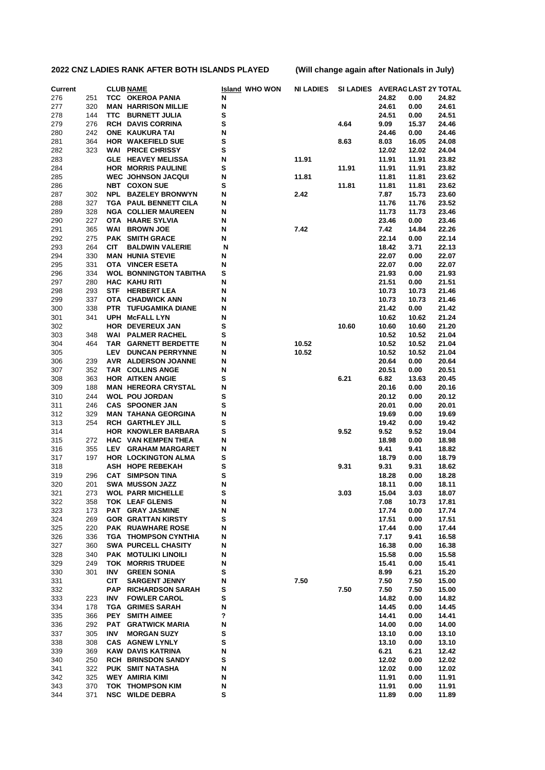| <b>Current</b> | <b>CLUB NAME</b> |            | <b>Island WHO WON</b>                                  | <b>NI LADIES</b> |       | SI LADIES AVERAGLAST 2Y TOTAL |                |                |                |
|----------------|------------------|------------|--------------------------------------------------------|------------------|-------|-------------------------------|----------------|----------------|----------------|
| 276            | 251              |            | TCC OKEROA PANIA                                       | N                |       |                               | 24.82          | 0.00           | 24.82          |
| 277            | 320              |            | <b>MAN HARRISON MILLIE</b>                             | N                |       |                               | 24.61          | 0.00           | 24.61          |
| 278            | 144              |            | TTC BURNETT JULIA                                      | s                |       |                               | 24.51          | 0.00           | 24.51          |
| 279            | 276              |            | <b>RCH DAVIS CORRINA</b>                               | S                |       | 4.64                          | 9.09           | 15.37          | 24.46          |
| 280            | 242              |            | ONE KAUKURA TAI                                        | N                |       |                               | 24.46          | 0.00           | 24.46          |
| 281            | 364              |            | <b>HOR WAKEFIELD SUE</b>                               | s                |       | 8.63                          | 8.03           | 16.05          | 24.08          |
| 282            | 323              |            | <b>WAI PRICE CHRISSY</b>                               | s                | 11.91 |                               | 12.02          | 12.02          | 24.04          |
| 283<br>284     |                  |            | <b>GLE HEAVEY MELISSA</b><br><b>HOR MORRIS PAULINE</b> | N<br>S           |       | 11.91                         | 11.91<br>11.91 | 11.91<br>11.91 | 23.82<br>23.82 |
| 285            |                  |            | <b>WEC JOHNSON JACQUI</b>                              | N                | 11.81 |                               | 11.81          | 11.81          | 23.62          |
| 286            |                  |            | <b>NBT COXON SUE</b>                                   | s                |       | 11.81                         | 11.81          | 11.81          | 23.62          |
| 287            | 302              |            | <b>NPL BAZELEY BRONWYN</b>                             | N                | 2.42  |                               | 7.87           | 15.73          | 23.60          |
| 288            | 327              |            | TGA PAUL BENNETT CILA                                  | N                |       |                               | 11.76          | 11.76          | 23.52          |
| 289            | 328              |            | <b>NGA COLLIER MAUREEN</b>                             | N                |       |                               | 11.73          | 11.73          | 23.46          |
| 290            | 227              |            | OTA HAARE SYLVIA                                       | N                |       |                               | 23.46          | 0.00           | 23.46          |
| 291            | 365              |            | <b>WAI BROWN JOE</b>                                   | N                | 7.42  |                               | 7.42           | 14.84          | 22.26          |
| 292            | 275              |            | <b>PAK SMITH GRACE</b>                                 | N                |       |                               | 22.14          | 0.00           | 22.14          |
| 293            | 264              | <b>CIT</b> | <b>BALDWIN VALERIE</b>                                 | N                |       |                               | 18.42          | 3.71           | 22.13          |
| 294            | 330              |            | <b>MAN HUNIA STEVIE</b>                                | N                |       |                               | 22.07          | 0.00           | 22.07          |
| 295            | 331              |            | OTA VINCER ESETA                                       | N                |       |                               | 22.07          | 0.00           | 22.07          |
| 296            | 334              |            | <b>WOL BONNINGTON TABITHA</b>                          | s                |       |                               | 21.93          | 0.00           | 21.93          |
| 297            | 280              |            | <b>HAC KAHU RITI</b>                                   | N                |       |                               | 21.51          | 0.00           | 21.51          |
| 298            | 293              | STF        | <b>HERBERT LEA</b>                                     | N                |       |                               | 10.73          | 10.73          | 21.46          |
| 299            | 337              |            | OTA CHADWICK ANN                                       | N                |       |                               | 10.73          | 10.73          | 21.46          |
| 300            | 338              |            | PTR TUFUGAMIKA DIANE<br><b>UPH McFALL LYN</b>          | N                |       |                               | 21.42          | 0.00           | 21.42          |
| 301<br>302     | 341              |            | <b>HOR DEVEREUX JAN</b>                                | N<br>s           |       | 10.60                         | 10.62<br>10.60 | 10.62<br>10.60 | 21.24<br>21.20 |
| 303            | 348              |            | <b>WAI PALMER RACHEL</b>                               | s                |       |                               | 10.52          | 10.52          | 21.04          |
| 304            | 464              |            | TAR GARNETT BERDETTE                                   | N                | 10.52 |                               | 10.52          | 10.52          | 21.04          |
| 305            |                  | LEV        | <b>DUNCAN PERRYNNE</b>                                 | N                | 10.52 |                               | 10.52          | 10.52          | 21.04          |
| 306            | 239              |            | <b>AVR ALDERSON JOANNE</b>                             | N                |       |                               | 20.64          | 0.00           | 20.64          |
| 307            | 352              |            | TAR COLLINS ANGE                                       | N                |       |                               | 20.51          | 0.00           | 20.51          |
| 308            | 363              |            | <b>HOR AITKEN ANGIE</b>                                | s                |       | 6.21                          | 6.82           | 13.63          | 20.45          |
| 309            | 188              |            | <b>MAN HEREORA CRYSTAL</b>                             | N                |       |                               | 20.16          | 0.00           | 20.16          |
| 310            | 244              |            | <b>WOL POU JORDAN</b>                                  | s                |       |                               | 20.12          | 0.00           | 20.12          |
| 311            | 246              |            | <b>CAS SPOONER JAN</b>                                 | S                |       |                               | 20.01          | 0.00           | 20.01          |
| 312            | 329              |            | <b>MAN TAHANA GEORGINA</b>                             | N                |       |                               | 19.69          | 0.00           | 19.69          |
| 313            | 254              |            | <b>RCH GARTHLEY JILL</b>                               | s                |       |                               | 19.42          | 0.00           | 19.42          |
| 314            |                  |            | HOR KNOWLER BARBARA                                    | s                |       | 9.52                          | 9.52           | 9.52           | 19.04          |
| 315            | 272              |            | <b>HAC VAN KEMPEN THEA</b>                             | N                |       |                               | 18.98          | 0.00           | 18.98          |
| 316            | 355              | LEV        | <b>GRAHAM MARGARET</b>                                 | N                |       |                               | 9.41           | 9.41           | 18.82          |
| 317            | 197              |            | <b>HOR LOCKINGTON ALMA</b><br><b>ASH HOPE REBEKAH</b>  | s                |       |                               | 18.79          | 0.00           | 18.79          |
| 318<br>319     | 296              |            | <b>CAT SIMPSON TINA</b>                                | s<br>s           |       | 9.31                          | 9.31<br>18.28  | 9.31<br>0.00   | 18.62<br>18.28 |
| 320            | 201              |            | SWA MUSSON JAZZ                                        | N                |       |                               | 18.11          | 0.00           | 18.11          |
| 321            | 273              |            | <b>WOL PARR MICHELLE</b>                               | S                |       | 3.03                          | 15.04          | 3.03           | 18.07          |
| 322            | 358              |            | TOK LEAF GLENIS                                        | N                |       |                               | 7.08           | 10.73          | 17.81          |
| 323            | 173              |            | <b>PAT GRAY JASMINE</b>                                | N                |       |                               | 17.74          | 0.00           | 17.74          |
| 324            | 269              |            | <b>GOR GRATTAN KIRSTY</b>                              | S                |       |                               | 17.51          | 0.00           | 17.51          |
| 325            | 220              |            | PAK RUAWHARE ROSE                                      | Ν                |       |                               | 17.44          | 0.00           | 17.44          |
| 326            | 336              |            | <b>TGA THOMPSON CYNTHIA</b>                            | N                |       |                               | 7.17           | 9.41           | 16.58          |
| 327            | 360              |            | <b>SWA PURCELL CHASITY</b>                             | N                |       |                               | 16.38          | 0.00           | 16.38          |
| 328            | 340              |            | PAK MOTULIKI LINOILI                                   | Ν                |       |                               | 15.58          | 0.00           | 15.58          |
| 329            | 249              |            | <b>TOK MORRIS TRUDEE</b>                               | N                |       |                               | 15.41          | 0.00           | 15.41          |
| 330            | 301              | INV        | <b>GREEN SONIA</b>                                     | S                |       |                               | 8.99           | 6.21           | 15.20          |
| 331            |                  | <b>CIT</b> | <b>SARGENT JENNY</b>                                   | N                | 7.50  |                               | 7.50           | 7.50           | 15.00          |
| 332            |                  |            | <b>PAP RICHARDSON SARAH</b>                            | s                |       | 7.50                          | 7.50           | 7.50           | 15.00          |
| 333            | 223              | INV        | <b>FOWLER CAROL</b>                                    | S                |       |                               | 14.82          | 0.00           | 14.82          |
| 334            | 178              |            | <b>TGA GRIMES SARAH</b>                                | N<br>?           |       |                               | 14.45          | 0.00           | 14.45          |
| 335<br>336     | 366<br>292       |            | PEY SMITH AIMEE<br>PAT GRATWICK MARIA                  | N                |       |                               | 14.41<br>14.00 | 0.00<br>0.00   | 14.41<br>14.00 |
| 337            | 305              | INV        | <b>MORGAN SUZY</b>                                     | S                |       |                               | 13.10          | 0.00           | 13.10          |
| 338            | 308              |            | <b>CAS AGNEW LYNLY</b>                                 | S                |       |                               | 13.10          | 0.00           | 13.10          |
| 339            | 369              |            | KAW DAVIS KATRINA                                      | N                |       |                               | 6.21           | 6.21           | 12.42          |
| 340            | 250              |            | <b>RCH BRINSDON SANDY</b>                              | S                |       |                               | 12.02          | 0.00           | 12.02          |
| 341            | 322              |            | PUK SMIT NATASHA                                       | N                |       |                               | 12.02          | 0.00           | 12.02          |
| 342            | 325              |            | <b>WEY AMIRIA KIMI</b>                                 | N                |       |                               | 11.91          | 0.00           | 11.91          |
| 343            | 370              |            | <b>TOK THOMPSON KIM</b>                                | N                |       |                               | 11.91          | 0.00           | 11.91          |
| 344            | 371              |            | <b>NSC WILDE DEBRA</b>                                 | S                |       |                               | 11.89          | 0.00           | 11.89          |